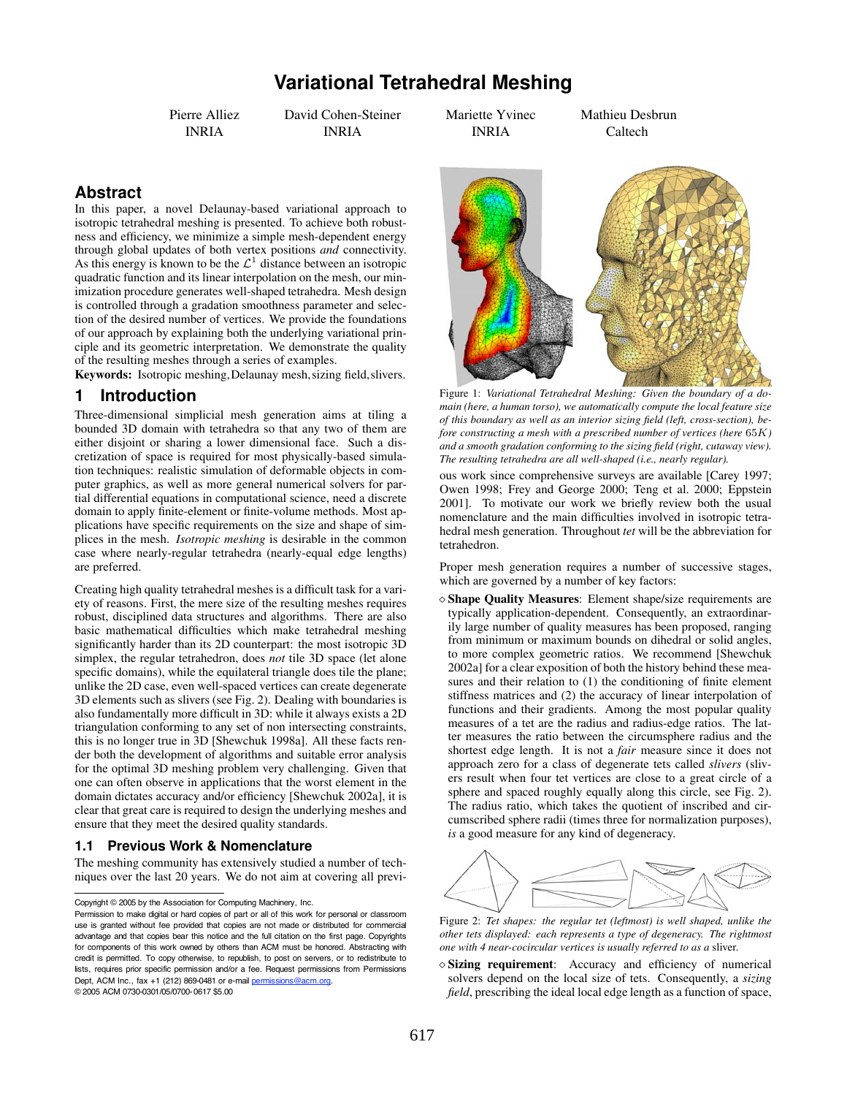# **Variational Tetrahedral Meshing**

Pierre Alliez INRIA

David Cohen-Steiner INRIA

Mariette Yvinec INRIA

Mathieu Desbrun Caltech

# **Abstract**

In this paper, a novel Delaunay-based variational approach to isotropic tetrahedral meshing is presented. To achieve both robustness and efficiency, we minimize a simple mesh-dependent energy through global updates of both vertex positions *and* connectivity. As this energy is known to be the  $\mathcal{L}^1$  distance between an isotropic quadratic function and its linear interpolation on the mesh, our minimization procedure generates well-shaped tetrahedra. Mesh design is controlled through a gradation smoothness parameter and selection of the desired number of vertices. We provide the foundations of our approach by explaining both the underlying variational principle and its geometric interpretation. We demonstrate the quality of the resulting meshes through a series of examples.

Keywords: Isotropic meshing,Delaunay mesh,sizing field,slivers.

## **1 Introduction**

Three-dimensional simplicial mesh generation aims at tiling a bounded 3D domain with tetrahedra so that any two of them are either disjoint or sharing a lower dimensional face. Such a discretization of space is required for most physically-based simulation techniques: realistic simulation of deformable objects in computer graphics, as well as more general numerical solvers for partial differential equations in computational science, need a discrete domain to apply finite-element or finite-volume methods. Most applications have specific requirements on the size and shape of simplices in the mesh. *Isotropic meshing* is desirable in the common case where nearly-regular tetrahedra (nearly-equal edge lengths) are preferred.

Creating high quality tetrahedral meshes is a difficult task for a variety of reasons. First, the mere size of the resulting meshes requires robust, disciplined data structures and algorithms. There are also basic mathematical difficulties which make tetrahedral meshing significantly harder than its 2D counterpart: the most isotropic 3D simplex, the regular tetrahedron, does *not* tile 3D space (let alone specific domains), while the equilateral triangle does tile the plane; unlike the 2D case, even well-spaced vertices can create degenerate 3D elements such as slivers (see Fig. [2\)](#page-0-0). Dealing with boundaries is also fundamentally more difficult in 3D: while it always exists a 2D triangulation conforming to any set of non intersecting constraints, this is no longer true in 3D [\[Shewchuk](#page-8-0) 1998a]. All these facts render both the development of algorithms and suitable error analysis for the optimal 3D meshing problem very challenging. Given that one can often observe in applications that the worst element in the domain dictates accuracy and/or efficiency [\[Shewchuk](#page-8-1) 2002a], it is clear that great care is required to design the underlying meshes and ensure that they meet the desired quality standards.

## **1.1 Previous Work & Nomenclature**

The meshing community has extensively studied a number of techniques over the last 20 years. We do not aim at covering all previ-

Copyright © 2005 by the Association for Computing Machinery, Inc.



Figure 1: *Variational Tetrahedral Meshing: Given the boundary of a domain (here, a human torso), we automatically compute the local feature size of this boundary as well as an interior sizing field (left, cross-section), before constructing a mesh with a prescribed number of vertices (here* 65K*) and a smooth gradation conforming to the sizing field (right, cutaway view). The resulting tetrahedra are all well-shaped (i.e., nearly regular).*

ous work since comprehensive surveys are available [\[Carey](#page-7-0) 1997; [Owen](#page-8-2) 1998; Frey and [George](#page-8-3) 2000; Teng et al. [2000;](#page-8-4) [Eppstein](#page-8-5) [2001\]](#page-8-5). To motivate our work we briefly review both the usual nomenclature and the main difficulties involved in isotropic tetrahedral mesh generation. Throughout *tet* will be the abbreviation for tetrahedron.

Proper mesh generation requires a number of successive stages, which are governed by a number of key factors:

 Shape Quality Measures: Element shape/size requirements are typically application-dependent. Consequently, an extraordinarily large number of quality measures has been proposed, ranging from minimum or maximum bounds on dihedral or solid angles, to more complex geometric ratios. We recommend [\[Shewchuk](#page-8-1) [2002a\]](#page-8-1) for a clear exposition of both the history behind these measures and their relation to (1) the conditioning of finite element stiffness matrices and (2) the accuracy of linear interpolation of functions and their gradients. Among the most popular quality measures of a tet are the radius and radius-edge ratios. The latter measures the ratio between the circumsphere radius and the shortest edge length. It is not a *fair* measure since it does not approach zero for a class of degenerate tets called *slivers* (slivers result when four tet vertices are close to a great circle of a sphere and spaced roughly equally along this circle, see Fig. [2\)](#page-0-0). The radius ratio, which takes the quotient of inscribed and circumscribed sphere radii (times three for normalization purposes), *is* a good measure for any kind of degeneracy.



<span id="page-0-0"></span>Figure 2: *Tet shapes: the regular tet (leftmost) is well shaped, unlike the other tets displayed: each represents a type of degeneracy. The rightmost one with 4 near-cocircular vertices is usually referred to as a* sliver*.*

 Sizing requirement: Accuracy and efficiency of numerical solvers depend on the local size of tets. Consequently, a *sizing field*, prescribing the ideal local edge length as a function of space,

Permission to make digital or hard copies of part or all of this work for personal or classroom use is granted without fee provided that copies are not made or distributed for commercial advantage and that copies bear this notice and the full citation on the first page. Copyrights for components of this work owned by others than ACM must be honored. Abstracting with credit is permitted. To copy otherwise, to republish, to post on servers, or to redistribute to lists, requires prior specific permission and/or a fee. Request permissions from Permissions Dept, ACM Inc., fax +1 (212) 869-0481 or e-mail permissions@acm.org. © 2005 ACM 0730-0301/05/0700-0617 \$5.00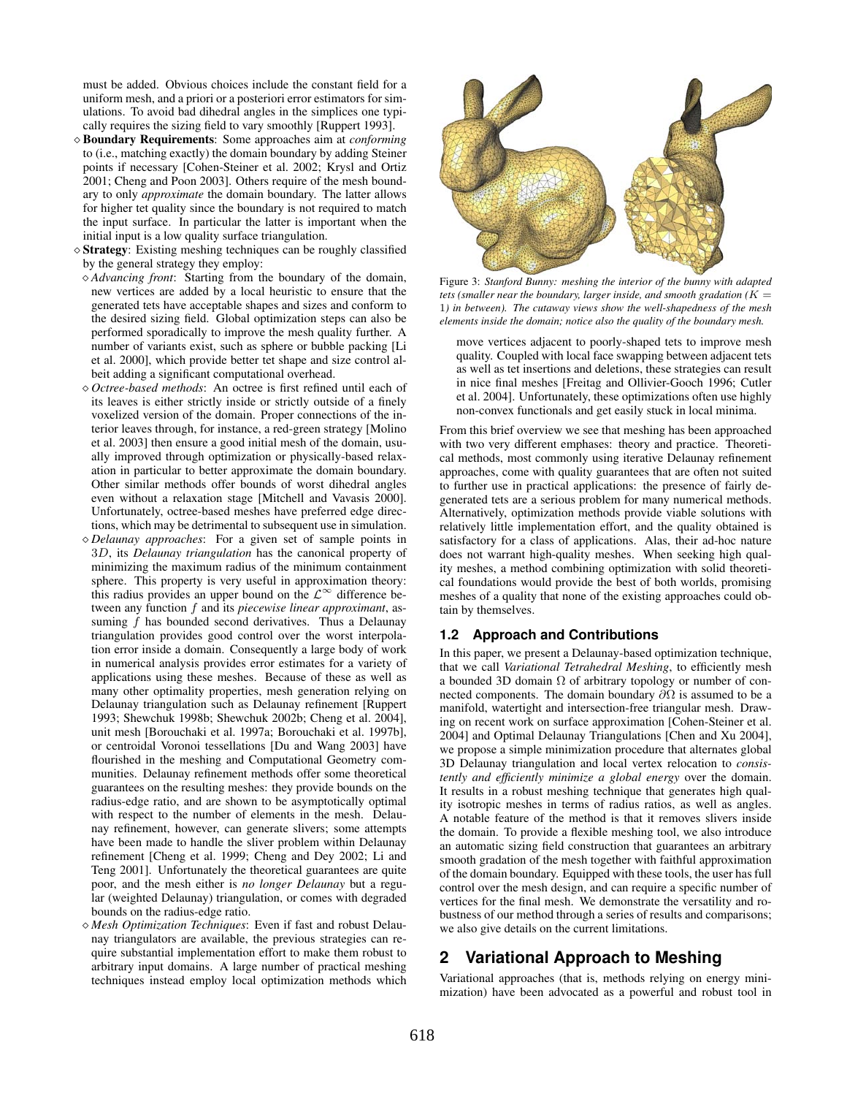must be added. Obvious choices include the constant field for a uniform mesh, and a priori or a posteriori error estimators for simulations. To avoid bad dihedral angles in the simplices one typically requires the sizing field to vary smoothly [\[Ruppert 1993\]](#page-8-6).

- Boundary Requirements: Some approaches aim at *conforming* to (i.e., matching exactly) the domain boundary by adding Steiner points if necessary [\[Cohen-Steiner et al. 2002;](#page-7-1) [Krysl and Ortiz](#page-8-7) [2001;](#page-8-7) [Cheng and Poon 2003\]](#page-7-2). Others require of the mesh boundary to only *approximate* the domain boundary. The latter allows for higher tet quality since the boundary is not required to match the input surface. In particular the latter is important when the initial input is a low quality surface triangulation.
- $\diamond$  Strategy: Existing meshing techniques can be roughly classified by the general strategy they employ:
- *Advancing front*: Starting from the boundary of the domain, new vertices are added by a local heuristic to ensure that the generated tets have acceptable shapes and sizes and conform to the desired sizing field. Global optimization steps can also be performed sporadically to improve the mesh quality further. A number of variants exist, such as sphere or bubble packing [\[Li](#page-8-8) [et al. 2000\]](#page-8-8), which provide better tet shape and size control albeit adding a significant computational overhead.
- *Octree-based methods*: An octree is first refined until each of its leaves is either strictly inside or strictly outside of a finely voxelized version of the domain. Proper connections of the interior leaves through, for instance, a red-green strategy [\[Molino](#page-8-9) [et al. 2003\]](#page-8-9) then ensure a good initial mesh of the domain, usually improved through optimization or physically-based relaxation in particular to better approximate the domain boundary. Other similar methods offer bounds of worst dihedral angles even without a relaxation stage [\[Mitchell and Vavasis 2000\]](#page-8-10). Unfortunately, octree-based meshes have preferred edge directions, which may be detrimental to subsequent use in simulation.
- *Delaunay approaches*: For a given set of sample points in 3D, its *Delaunay triangulation* has the canonical property of minimizing the maximum radius of the minimum containment sphere. This property is very useful in approximation theory: this radius provides an upper bound on the  $\mathcal{L}^{\infty}$  difference between any function f and its *piecewise linear approximant*, assuming  $f$  has bounded second derivatives. Thus a Delaunay triangulation provides good control over the worst interpolation error inside a domain. Consequently a large body of work in numerical analysis provides error estimates for a variety of applications using these meshes. Because of these as well as many other optimality properties, mesh generation relying on Delaunay triangulation such as Delaunay refinement [\[Ruppert](#page-8-6) [1993;](#page-8-6) [Shewchuk 1998b;](#page-8-11) [Shewchuk 2002b;](#page-8-12) [Cheng et al. 2004\]](#page-7-3), unit mesh [\[Borouchaki et al. 1997a;](#page-7-4) [Borouchaki et al. 1997b\]](#page-7-5), or centroidal Voronoi tessellations [\[Du and Wang 2003\]](#page-8-13) have flourished in the meshing and Computational Geometry communities. Delaunay refinement methods offer some theoretical guarantees on the resulting meshes: they provide bounds on the radius-edge ratio, and are shown to be asymptotically optimal with respect to the number of elements in the mesh. Delaunay refinement, however, can generate slivers; some attempts have been made to handle the sliver problem within Delaunay refinement [\[Cheng et al. 1999;](#page-7-6) [Cheng and Dey 2002;](#page-7-7) [Li and](#page-8-14) [Teng 2001\]](#page-8-14). Unfortunately the theoretical guarantees are quite poor, and the mesh either is *no longer Delaunay* but a regular (weighted Delaunay) triangulation, or comes with degraded bounds on the radius-edge ratio.
- *Mesh Optimization Techniques*: Even if fast and robust Delaunay triangulators are available, the previous strategies can require substantial implementation effort to make them robust to arbitrary input domains. A large number of practical meshing techniques instead employ local optimization methods which



Figure 3: *Stanford Bunny: meshing the interior of the bunny with adapted tets (smaller near the boundary, larger inside, and smooth gradation (* $K =$ 1*) in between). The cutaway views show the well-shapedness of the mesh elements inside the domain; notice also the quality of the boundary mesh.*

move vertices adjacent to poorly-shaped tets to improve mesh quality. Coupled with local face swapping between adjacent tets as well as tet insertions and deletions, these strategies can result in nice final meshes [\[Freitag and Ollivier-Gooch 1996;](#page-8-15) [Cutler](#page-7-8) [et al. 2004\]](#page-7-8). Unfortunately, these optimizations often use highly non-convex functionals and get easily stuck in local minima.

From this brief overview we see that meshing has been approached with two very different emphases: theory and practice. Theoretical methods, most commonly using iterative Delaunay refinement approaches, come with quality guarantees that are often not suited to further use in practical applications: the presence of fairly degenerated tets are a serious problem for many numerical methods. Alternatively, optimization methods provide viable solutions with relatively little implementation effort, and the quality obtained is satisfactory for a class of applications. Alas, their ad-hoc nature does not warrant high-quality meshes. When seeking high quality meshes, a method combining optimization with solid theoretical foundations would provide the best of both worlds, promising meshes of a quality that none of the existing approaches could obtain by themselves.

#### **1.2 Approach and Contributions**

In this paper, we present a Delaunay-based optimization technique, that we call *Variational Tetrahedral Meshing*, to efficiently mesh a bounded 3D domain  $\Omega$  of arbitrary topology or number of connected components. The domain boundary  $\partial\Omega$  is assumed to be a manifold, watertight and intersection-free triangular mesh. Drawing on recent work on surface approximation [\[Cohen-Steiner et al.](#page-7-9) [2004\]](#page-7-9) and Optimal Delaunay Triangulations [\[Chen and Xu 2004\]](#page-7-10), we propose a simple minimization procedure that alternates global 3D Delaunay triangulation and local vertex relocation to *consistently and efficiently minimize a global energy* over the domain. It results in a robust meshing technique that generates high quality isotropic meshes in terms of radius ratios, as well as angles. A notable feature of the method is that it removes slivers inside the domain. To provide a flexible meshing tool, we also introduce an automatic sizing field construction that guarantees an arbitrary smooth gradation of the mesh together with faithful approximation of the domain boundary. Equipped with these tools, the user has full control over the mesh design, and can require a specific number of vertices for the final mesh. We demonstrate the versatility and robustness of our method through a series of results and comparisons; we also give details on the current limitations.

## **2 Variational Approach to Meshing**

Variational approaches (that is, methods relying on energy minimization) have been advocated as a powerful and robust tool in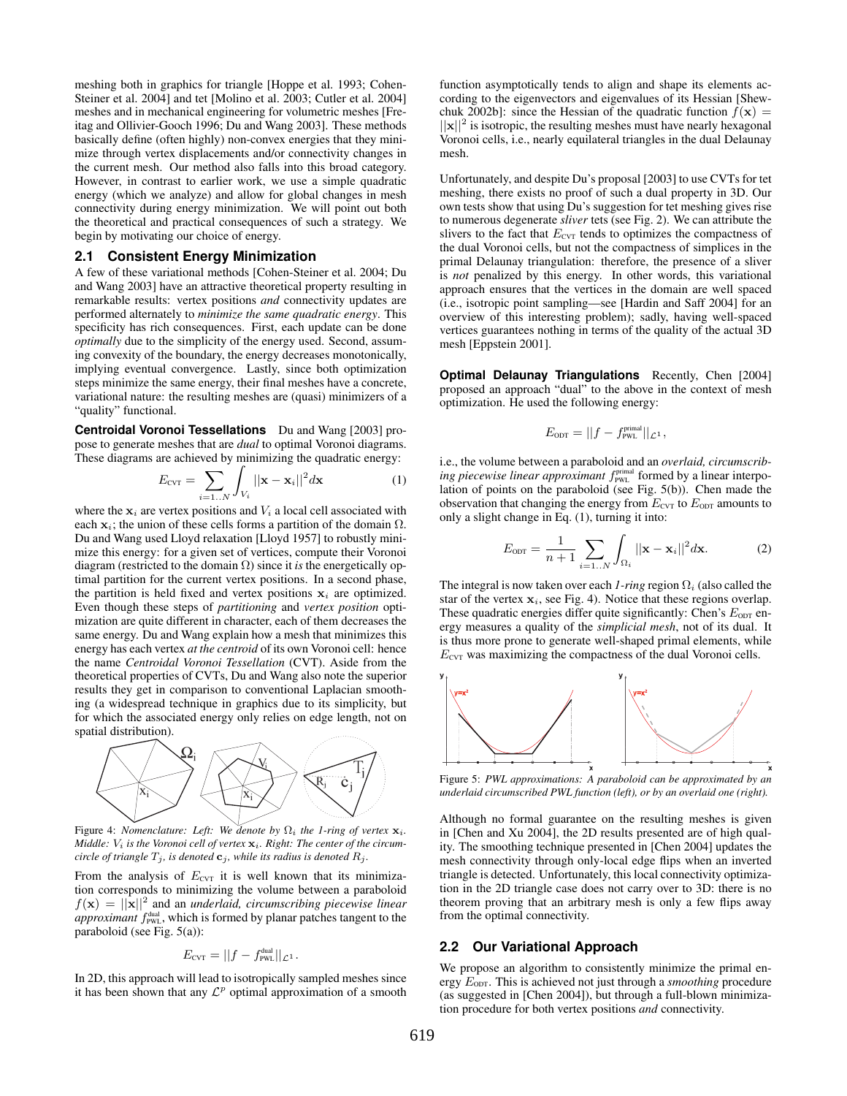meshing both in graphics for triangle [\[Hoppe et al. 1993;](#page-8-16) [Cohen-](#page-7-9)[Steiner et al. 2004\]](#page-7-9) and tet [\[Molino et al. 2003;](#page-8-9) [Cutler et al. 2004\]](#page-7-8) meshes and in mechanical engineering for volumetric meshes [\[Fre](#page-8-15)[itag and Ollivier-Gooch 1996;](#page-8-15) [Du and Wang 2003\]](#page-8-13). These methods basically define (often highly) non-convex energies that they minimize through vertex displacements and/or connectivity changes in the current mesh. Our method also falls into this broad category. However, in contrast to earlier work, we use a simple quadratic energy (which we analyze) and allow for global changes in mesh connectivity during energy minimization. We will point out both the theoretical and practical consequences of such a strategy. We begin by motivating our choice of energy.

#### **2.1 Consistent Energy Minimization**

A few of these variational methods [\[Cohen-Steiner et al. 2004;](#page-7-9) [Du](#page-8-13) [and Wang 2003\]](#page-8-13) have an attractive theoretical property resulting in remarkable results: vertex positions *and* connectivity updates are performed alternately to *minimize the same quadratic energy*. This specificity has rich consequences. First, each update can be done *optimally* due to the simplicity of the energy used. Second, assuming convexity of the boundary, the energy decreases monotonically, implying eventual convergence. Lastly, since both optimization steps minimize the same energy, their final meshes have a concrete, variational nature: the resulting meshes are (quasi) minimizers of a "quality" functional.

**Centroidal Voronoi Tessellations** Du and Wang [\[2003\]](#page-8-13) propose to generate meshes that are *dual* to optimal Voronoi diagrams. These diagrams are achieved by minimizing the quadratic energy:

<span id="page-2-1"></span>
$$
E_{\text{CVT}} = \sum_{i=1..N} \int_{V_i} ||\mathbf{x} - \mathbf{x}_i||^2 d\mathbf{x}
$$
 (1)

where the  $x_i$  are vertex positions and  $V_i$  a local cell associated with each  $x_i$ ; the union of these cells forms a partition of the domain  $\Omega$ . Du and Wang used Lloyd relaxation [\[Lloyd 1957\]](#page-8-17) to robustly minimize this energy: for a given set of vertices, compute their Voronoi diagram (restricted to the domain Ω) since it *is* the energetically optimal partition for the current vertex positions. In a second phase, the partition is held fixed and vertex positions  $x_i$  are optimized. Even though these steps of *partitioning* and *vertex position* optimization are quite different in character, each of them decreases the same energy. Du and Wang explain how a mesh that minimizes this energy has each vertex *at the centroid* of its own Voronoi cell: hence the name *Centroidal Voronoi Tessellation* (CVT). Aside from the theoretical properties of CVTs, Du and Wang also note the superior results they get in comparison to conventional Laplacian smoothing (a widespread technique in graphics due to its simplicity, but for which the associated energy only relies on edge length, not on spatial distribution).



<span id="page-2-2"></span>Figure 4: *Nomenclature: Left: We denote by*  $\Omega_i$  *the 1-ring of vertex*  $\mathbf{x}_i$ *. Middle:*  $V_i$  *is the Voronoi cell of vertex*  $x_i$ *. Right: The center of the circumcircle of triangle*  $T_i$ *, is denoted*  $c_i$ *, while its radius is denoted*  $R_i$ *.* 

From the analysis of  $E_{\text{CVT}}$  it is well known that its minimization corresponds to minimizing the volume between a paraboloid  $f(\mathbf{x}) = ||\mathbf{x}||^2$  and an *underlaid, circumscribing piecewise linear* approximant  $f_{\text{PWL}}^{\text{dual}}$ , which is formed by planar patches tangent to the paraboloid (see Fig. [5\(](#page-2-0)a)):

$$
E_{\rm CVT} = ||f - f_{\rm PWL}^{\rm dual}||_{\mathcal{L}^1}.
$$

In 2D, this approach will lead to isotropically sampled meshes since it has been shown that any  $\mathcal{L}^p$  optimal approximation of a smooth function asymptotically tends to align and shape its elements according to the eigenvectors and eigenvalues of its Hessian [\[Shew](#page-8-12)[chuk 2002b\]](#page-8-12): since the Hessian of the quadratic function  $f(\mathbf{x}) =$  $||\mathbf{x}||^2$  is isotropic, the resulting meshes must have nearly hexagonal Voronoi cells, i.e., nearly equilateral triangles in the dual Delaunay mesh.

Unfortunately, and despite Du's proposal [\[2003\]](#page-8-13) to use CVTs for tet meshing, there exists no proof of such a dual property in 3D. Our own tests show that using Du's suggestion for tet meshing gives rise to numerous degenerate *sliver* tets (see Fig. [2\)](#page-0-0). We can attribute the slivers to the fact that  $E_{\text{CVT}}$  tends to optimizes the compactness of the dual Voronoi cells, but not the compactness of simplices in the primal Delaunay triangulation: therefore, the presence of a sliver is *not* penalized by this energy. In other words, this variational approach ensures that the vertices in the domain are well spaced (i.e., isotropic point sampling—see [\[Hardin and Saff 2004\]](#page-8-18) for an overview of this interesting problem); sadly, having well-spaced vertices guarantees nothing in terms of the quality of the actual 3D mesh [\[Eppstein 2001\]](#page-8-5).

**Optimal Delaunay Triangulations** Recently, Chen [\[2004\]](#page-7-11) proposed an approach "dual" to the above in the context of mesh optimization. He used the following energy:

$$
E_{\text{ODT}} = ||f - f_{\text{PWL}}^{\text{primal}}||_{\mathcal{L}^1},
$$

i.e., the volume between a paraboloid and an *overlaid, circumscribing piecewise linear approximant*  $f_{\text{PWL}}^{\text{primal}}$  formed by a linear interpolation of points on the paraboloid (see Fig. [5\(](#page-2-0)b)). Chen made the observation that changing the energy from  $E_{\text{CVT}}$  to  $E_{\text{ODT}}$  amounts to only a slight change in Eq. [\(1\)](#page-2-1), turning it into:

$$
E_{\text{ODT}} = \frac{1}{n+1} \sum_{i=1..N} \int_{\Omega_i} ||\mathbf{x} - \mathbf{x}_i||^2 d\mathbf{x}.
$$
 (2)

The integral is now taken over each *1-ring* region  $\Omega_i$  (also called the star of the vertex  $x_i$ , see Fig. [4\)](#page-2-2). Notice that these regions overlap. These quadratic energies differ quite significantly: Chen's  $E_{\text{ODT}}$  energy measures a quality of the *simplicial mesh*, not of its dual. It is thus more prone to generate well-shaped primal elements, while  $E<sub>CVT</sub>$  was maximizing the compactness of the dual Voronoi cells.



<span id="page-2-0"></span>Figure 5: *PWL approximations: A paraboloid can be approximated by an underlaid circumscribed PWL function (left), or by an overlaid one (right).*

Although no formal guarantee on the resulting meshes is given in [\[Chen and Xu 2004\]](#page-7-10), the 2D results presented are of high quality. The smoothing technique presented in [\[Chen 2004\]](#page-7-11) updates the mesh connectivity through only-local edge flips when an inverted triangle is detected. Unfortunately, this local connectivity optimization in the 2D triangle case does not carry over to 3D: there is no theorem proving that an arbitrary mesh is only a few flips away from the optimal connectivity.

#### **2.2 Our Variational Approach**

We propose an algorithm to consistently minimize the primal energy  $E_{\text{ODT}}$ . This is achieved not just through a *smoothing* procedure (as suggested in [\[Chen 2004\]](#page-7-11)), but through a full-blown minimization procedure for both vertex positions *and* connectivity.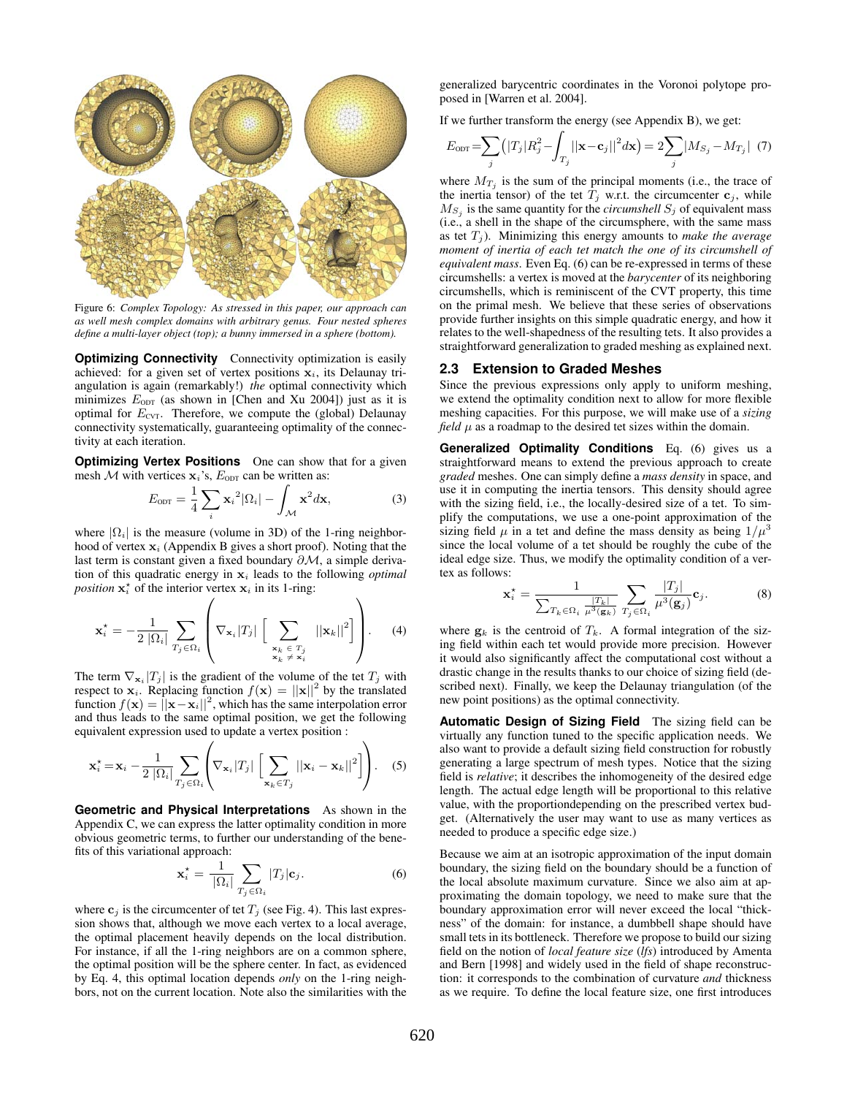

Figure 6: *Complex Topology: As stressed in this paper, our approach can as well mesh complex domains with arbitrary genus. Four nested spheres define a multi-layer object (top); a bunny immersed in a sphere (bottom).*

<span id="page-3-2"></span>**Optimizing Connectivity** Connectivity optimization is easily achieved: for a given set of vertex positions  $x_i$ , its Delaunay triangulation is again (remarkably!) *the* optimal connectivity which minimizes  $E_{ODT}$  (as shown in [\[Chen and Xu 2004\]](#page-7-10)) just as it is optimal for  $E_{\text{CVT}}$ . Therefore, we compute the (global) Delaunay connectivity systematically, guaranteeing optimality of the connectivity at each iteration.

**Optimizing Vertex Positions** One can show that for a given mesh  $M$  with vertices  $x_i$ 's,  $E_{ODT}$  can be written as:

<span id="page-3-5"></span>
$$
E_{\text{ODT}} = \frac{1}{4} \sum_{i} \mathbf{x}_{i}^{2} |\Omega_{i}| - \int_{\mathcal{M}} \mathbf{x}^{2} d\mathbf{x}, \tag{3}
$$

where  $|\Omega_i|$  is the measure (volume in 3D) of the 1-ring neighborhood of vertex  $x_i$  (Appendix [B](#page-8-19) gives a short proof). Noting that the last term is constant given a fixed boundary ∂M, a simple derivation of this quadratic energy in  $x_i$  leads to the following *optimal position*  $\mathbf{x}_i^*$  of the interior vertex  $\mathbf{x}_i$  in its 1-ring:

<span id="page-3-0"></span>
$$
\mathbf{x}_{i}^{\star} = -\frac{1}{2\left|\Omega_{i}\right|} \sum_{T_{j} \in \Omega_{i}} \left(\nabla_{\mathbf{x}_{i}}|T_{j}| \left[\sum_{\substack{\mathbf{x}_{k} \in T_{j} \\ \mathbf{x}_{k} \neq \mathbf{x}_{i}}} ||\mathbf{x}_{k}||^{2}\right]\right).
$$
 (4)

The term  $\nabla_{\mathbf{x}_i} |T_j|$  is the gradient of the volume of the tet  $T_j$  with respect to  $\mathbf{x}_i$ . Replacing function  $f(\mathbf{x}) = ||\mathbf{x}||^2$  by the translated function  $f(\mathbf{x}) = \frac{\|\mathbf{x} - \mathbf{x}_i\|^2}{\| \mathbf{x} - \mathbf{x}_i \|^2}$ , which has the same interpolation error and thus leads to the same optimal position, we get the following equivalent expression used to update a vertex position :

<span id="page-3-7"></span>
$$
\mathbf{x}_{i}^{\star} = \mathbf{x}_{i} - \frac{1}{2} \frac{1}{|\Omega_{i}|} \sum_{T_{j} \in \Omega_{i}} \left( \nabla_{\mathbf{x}_{i}} |T_{j}| \left[ \sum_{\mathbf{x}_{k} \in T_{j}} ||\mathbf{x}_{i} - \mathbf{x}_{k}||^{2} \right] \right). \quad (5)
$$

**Geometric and Physical Interpretations** As shown in the Appendix [C,](#page-8-20) we can express the latter optimality condition in more obvious geometric terms, to further our understanding of the benefits of this variational approach:

<span id="page-3-1"></span>
$$
\mathbf{x}_i^* = \frac{1}{|\Omega_i|} \sum_{T_j \in \Omega_i} |T_j| \mathbf{c}_j. \tag{6}
$$

where  $c_j$  is the circumcenter of tet  $T_j$  (see Fig. [4\)](#page-2-2). This last expression shows that, although we move each vertex to a local average, the optimal placement heavily depends on the local distribution. For instance, if all the 1-ring neighbors are on a common sphere, the optimal position will be the sphere center. In fact, as evidenced by Eq. [4,](#page-3-0) this optimal location depends *only* on the 1-ring neighbors, not on the current location. Note also the similarities with the generalized barycentric coordinates in the Voronoi polytope proposed in [\[Warren et al. 2004\]](#page-8-21).

If we further transform the energy (see Appendix [B\)](#page-8-19), we get:

<span id="page-3-6"></span>
$$
E_{\text{ODT}} = \sum_{j} (|T_j| R_j^2 - \int_{T_j} ||\mathbf{x} - \mathbf{c}_j||^2 d\mathbf{x}) = 2 \sum_{j} |M_{S_j} - M_{T_j}| \tag{7}
$$

where  $M_{T_j}$  is the sum of the principal moments (i.e., the trace of the inertia tensor) of the tet  $\overline{T_j}$  w.r.t. the circumcenter  $\mathbf{c}_j$ , while  $M_{S_j}$  is the same quantity for the *circumshell*  $S_j$  of equivalent mass (i.e., a shell in the shape of the circumsphere, with the same mass as tet  $T_j$ ). Minimizing this energy amounts to *make the average moment of inertia of each tet match the one of its circumshell of equivalent mass*. Even Eq. [\(6\)](#page-3-1) can be re-expressed in terms of these circumshells: a vertex is moved at the *barycenter* of its neighboring circumshells, which is reminiscent of the CVT property, this time on the primal mesh. We believe that these series of observations provide further insights on this simple quadratic energy, and how it relates to the well-shapedness of the resulting tets. It also provides a straightforward generalization to graded meshing as explained next.

#### <span id="page-3-3"></span>**2.3 Extension to Graded Meshes**

Since the previous expressions only apply to uniform meshing, we extend the optimality condition next to allow for more flexible meshing capacities. For this purpose, we will make use of a *sizing field*  $\mu$  as a roadmap to the desired tet sizes within the domain.

**Generalized Optimality Conditions** Eq. [\(6\)](#page-3-1) gives us a straightforward means to extend the previous approach to create *graded* meshes. One can simply define a *mass density* in space, and use it in computing the inertia tensors. This density should agree with the sizing field, i.e., the locally-desired size of a tet. To simplify the computations, we use a one-point approximation of the sizing field  $\mu$  in a tet and define the mass density as being  $1/\mu^3$ since the local volume of a tet should be roughly the cube of the ideal edge size. Thus, we modify the optimality condition of a vertex as follows:

<span id="page-3-4"></span>
$$
\mathbf{x}_{i}^{\star} = \frac{1}{\sum_{T_{k} \in \Omega_{i}} \frac{|T_{k}|}{\mu^{3}(\mathbf{g}_{k})}} \sum_{T_{j} \in \Omega_{i}} \frac{|T_{j}|}{\mu^{3}(\mathbf{g}_{j})} \mathbf{c}_{j}.
$$
 (8)

where  $g_k$  is the centroid of  $T_k$ . A formal integration of the sizing field within each tet would provide more precision. However it would also significantly affect the computational cost without a drastic change in the results thanks to our choice of sizing field (described next). Finally, we keep the Delaunay triangulation (of the new point positions) as the optimal connectivity.

**Automatic Design of Sizing Field** The sizing field can be virtually any function tuned to the specific application needs. We also want to provide a default sizing field construction for robustly generating a large spectrum of mesh types. Notice that the sizing field is *relative*; it describes the inhomogeneity of the desired edge length. The actual edge length will be proportional to this relative value, with the proportiondepending on the prescribed vertex budget. (Alternatively the user may want to use as many vertices as needed to produce a specific edge size.)

Because we aim at an isotropic approximation of the input domain boundary, the sizing field on the boundary should be a function of the local absolute maximum curvature. Since we also aim at approximating the domain topology, we need to make sure that the boundary approximation error will never exceed the local "thickness" of the domain: for instance, a dumbbell shape should have small tets in its bottleneck. Therefore we propose to build our sizing field on the notion of *local feature size* (*lfs*) introduced by Amenta and Bern [\[1998\]](#page-7-12) and widely used in the field of shape reconstruction: it corresponds to the combination of curvature *and* thickness as we require. To define the local feature size, one first introduces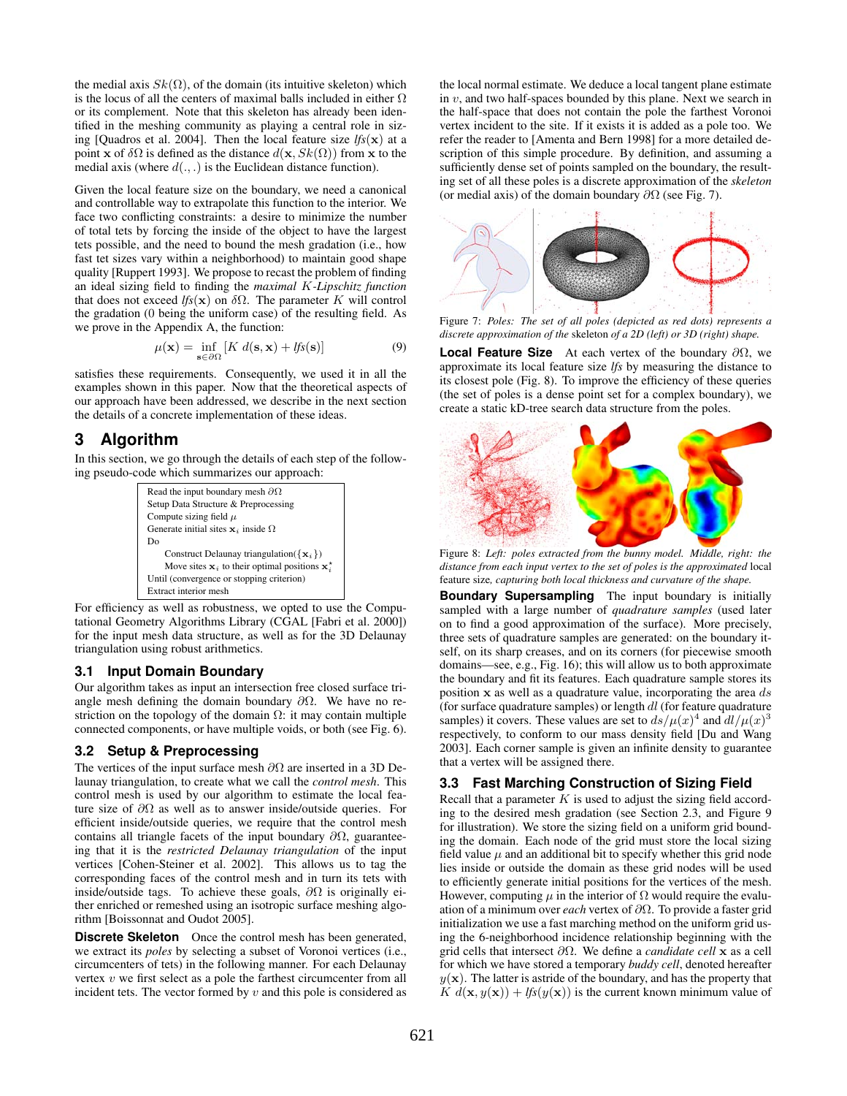the medial axis  $Sk(\Omega)$ , of the domain (its intuitive skeleton) which is the locus of all the centers of maximal balls included in either  $\Omega$ or its complement. Note that this skeleton has already been identified in the meshing community as playing a central role in siz-ing [\[Quadros et al. 2004\]](#page-8-22). Then the local feature size  $lfs(\mathbf{x})$  at a point x of  $\delta\Omega$  is defined as the distance  $d(\mathbf{x}, Sk(\Omega))$  from x to the medial axis (where  $d(.,.)$  is the Euclidean distance function).

Given the local feature size on the boundary, we need a canonical and controllable way to extrapolate this function to the interior. We face two conflicting constraints: a desire to minimize the number of total tets by forcing the inside of the object to have the largest tets possible, and the need to bound the mesh gradation (i.e., how fast tet sizes vary within a neighborhood) to maintain good shape quality [\[Ruppert 1993\]](#page-8-6). We propose to recast the problem of finding an ideal sizing field to finding the *maximal* K*-Lipschitz function* that does not exceed *lfs*( $\mathbf{x}$ ) on  $\delta\Omega$ . The parameter K will control the gradation (0 being the uniform case) of the resulting field. As we prove in the Appendix [A,](#page-8-23) the function:

<span id="page-4-2"></span>
$$
\mu(\mathbf{x}) = \inf_{\mathbf{s} \in \partial \Omega} \left[ K \, d(\mathbf{s}, \mathbf{x}) + l f \mathbf{s}(\mathbf{s}) \right] \tag{9}
$$

satisfies these requirements. Consequently, we used it in all the examples shown in this paper. Now that the theoretical aspects of our approach have been addressed, we describe in the next section the details of a concrete implementation of these ideas.

# **3 Algorithm**

In this section, we go through the details of each step of the following pseudo-code which summarizes our approach:

| Read the input boundary mesh $\partial\Omega$       |
|-----------------------------------------------------|
| Setup Data Structure & Preprocessing                |
| Compute sizing field $\mu$                          |
| Generate initial sites $x_i$ inside $\Omega$        |
| Do                                                  |
| Construct Delaunay triangulation( $\{x_i\}$ )       |
| Move sites $x_i$ to their optimal positions $x_i^*$ |
| Until (convergence or stopping criterion)           |
| Extract interior mesh                               |

For efficiency as well as robustness, we opted to use the Computational Geometry Algorithms Library (CGAL [\[Fabri et al. 2000\]](#page-8-24)) for the input mesh data structure, as well as for the 3D Delaunay triangulation using robust arithmetics.

## **3.1 Input Domain Boundary**

Our algorithm takes as input an intersection free closed surface triangle mesh defining the domain boundary  $\partial\Omega$ . We have no restriction on the topology of the domain  $\Omega$ : it may contain multiple connected components, or have multiple voids, or both (see Fig. [6\)](#page-3-2).

## **3.2 Setup & Preprocessing**

The vertices of the input surface mesh  $\partial\Omega$  are inserted in a 3D Delaunay triangulation, to create what we call the *control mesh*. This control mesh is used by our algorithm to estimate the local feature size of  $\partial\Omega$  as well as to answer inside/outside queries. For efficient inside/outside queries, we require that the control mesh contains all triangle facets of the input boundary  $\partial\Omega$ , guaranteeing that it is the *restricted Delaunay triangulation* of the input vertices [\[Cohen-Steiner et al. 2002\]](#page-7-1). This allows us to tag the corresponding faces of the control mesh and in turn its tets with inside/outside tags. To achieve these goals,  $\partial\Omega$  is originally either enriched or remeshed using an isotropic surface meshing algorithm [\[Boissonnat and Oudot 2005\]](#page-7-13).

**Discrete Skeleton** Once the control mesh has been generated, we extract its *poles* by selecting a subset of Voronoi vertices (i.e., circumcenters of tets) in the following manner. For each Delaunay vertex  $v$  we first select as a pole the farthest circumcenter from all incident tets. The vector formed by  $v$  and this pole is considered as the local normal estimate. We deduce a local tangent plane estimate in  $v$ , and two half-spaces bounded by this plane. Next we search in the half-space that does not contain the pole the farthest Voronoi vertex incident to the site. If it exists it is added as a pole too. We refer the reader to [\[Amenta and Bern 1998\]](#page-7-12) for a more detailed description of this simple procedure. By definition, and assuming a sufficiently dense set of points sampled on the boundary, the resulting set of all these poles is a discrete approximation of the *skeleton* (or medial axis) of the domain boundary  $\partial\Omega$  (see Fig. [7\)](#page-4-0).



<span id="page-4-0"></span>Figure 7: *Poles: The set of all poles (depicted as red dots) represents a discrete approximation of the* skeleton *of a 2D (left) or 3D (right) shape.*

**Local Feature Size** At each vertex of the boundary ∂Ω, we approximate its local feature size *lfs* by measuring the distance to its closest pole (Fig. [8\)](#page-4-1). To improve the efficiency of these queries (the set of poles is a dense point set for a complex boundary), we create a static kD-tree search data structure from the poles.



<span id="page-4-1"></span>Figure 8: *Left: poles extracted from the bunny model. Middle, right: the distance from each input vertex to the set of poles is the approximated* local feature size*, capturing both local thickness and curvature of the shape.*

**Boundary Supersampling** The input boundary is initially sampled with a large number of *quadrature samples* (used later on to find a good approximation of the surface). More precisely, three sets of quadrature samples are generated: on the boundary itself, on its sharp creases, and on its corners (for piecewise smooth domains—see, e.g., Fig. [16\)](#page-8-25); this will allow us to both approximate the boundary and fit its features. Each quadrature sample stores its position  $x$  as well as a quadrature value, incorporating the area  $ds$ (for surface quadrature samples) or length  $dl$  (for feature quadrature samples) it covers. These values are set to  $ds/\mu(x)^4$  and  $dl/\mu(x)^3$ respectively, to conform to our mass density field [\[Du and Wang](#page-8-13) [2003\]](#page-8-13). Each corner sample is given an infinite density to guarantee that a vertex will be assigned there.

## **3.3 Fast Marching Construction of Sizing Field**

Recall that a parameter  $K$  is used to adjust the sizing field according to the desired mesh gradation (see Section [2.3,](#page-3-3) and Figure [9](#page-5-0) for illustration). We store the sizing field on a uniform grid bounding the domain. Each node of the grid must store the local sizing field value  $\mu$  and an additional bit to specify whether this grid node lies inside or outside the domain as these grid nodes will be used to efficiently generate initial positions for the vertices of the mesh. However, computing  $\mu$  in the interior of  $\Omega$  would require the evaluation of a minimum over *each* vertex of ∂Ω. To provide a faster grid initialization we use a fast marching method on the uniform grid using the 6-neighborhood incidence relationship beginning with the grid cells that intersect ∂Ω. We define a *candidate cell* x as a cell for which we have stored a temporary *buddy cell*, denoted hereafter  $y(x)$ . The latter is astride of the boundary, and has the property that  $K d(\mathbf{x}, y(\mathbf{x})) + lfs(y(\mathbf{x}))$  is the current known minimum value of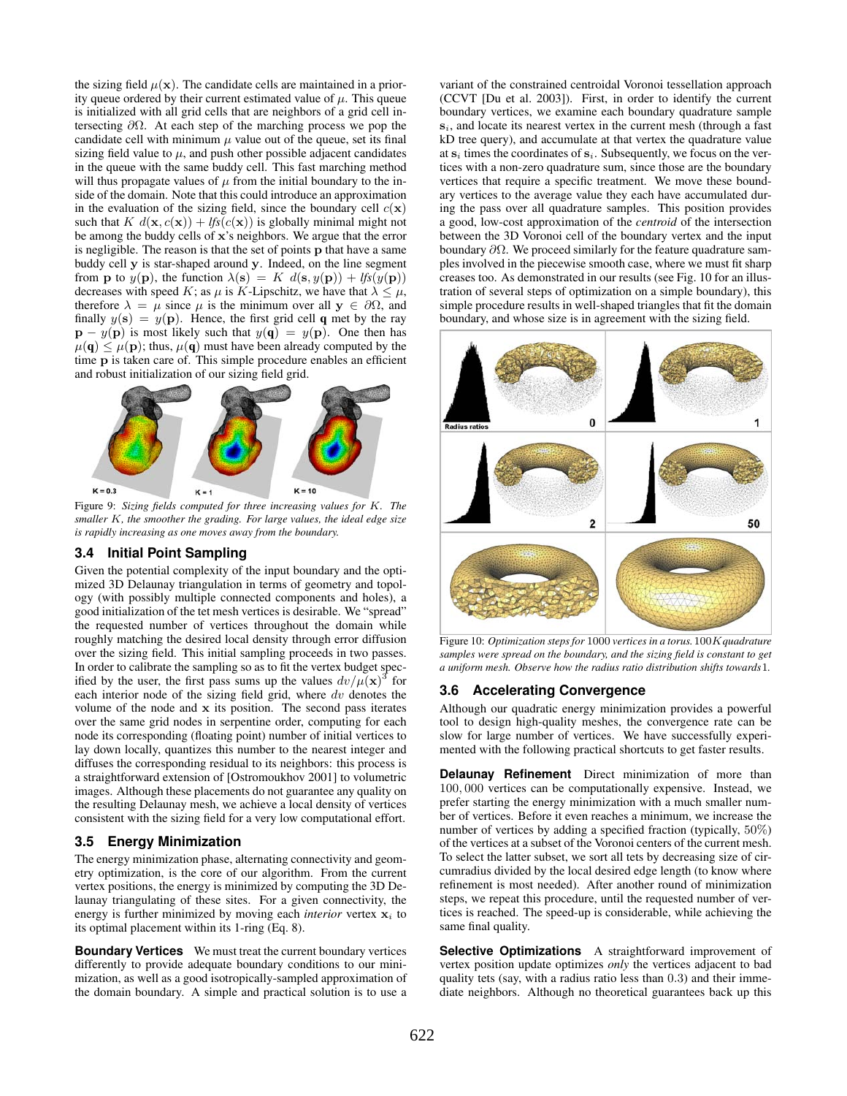the sizing field  $\mu(\mathbf{x})$ . The candidate cells are maintained in a priority queue ordered by their current estimated value of  $\mu$ . This queue is initialized with all grid cells that are neighbors of a grid cell intersecting  $\partial\Omega$ . At each step of the marching process we pop the candidate cell with minimum  $\mu$  value out of the queue, set its final sizing field value to  $\mu$ , and push other possible adjacent candidates in the queue with the same buddy cell. This fast marching method will thus propagate values of  $\mu$  from the initial boundary to the inside of the domain. Note that this could introduce an approximation in the evaluation of the sizing field, since the boundary cell  $c(\mathbf{x})$ such that  $K d(\mathbf{x}, c(\mathbf{x})) + lfs(c(\mathbf{x}))$  is globally minimal might not be among the buddy cells of x's neighbors. We argue that the error is negligible. The reason is that the set of points p that have a same buddy cell y is star-shaped around y. Indeed, on the line segment from **p** to  $y(\mathbf{p})$ , the function  $\lambda(\mathbf{s}) = K d(\mathbf{s}, y(\mathbf{p})) + lfs(y(\mathbf{p}))$ decreases with speed K; as  $\mu$  is K-Lipschitz, we have that  $\lambda \leq \mu$ , therefore  $\lambda = \mu$  since  $\mu$  is the minimum over all  $y \in \partial \Omega$ , and finally  $y(s) = y(p)$ . Hence, the first grid cell **q** met by the ray  $\mathbf{p} - y(\mathbf{p})$  is most likely such that  $y(\mathbf{q}) = y(\mathbf{p})$ . One then has  $\mu(\mathbf{q}) \leq \mu(\mathbf{p})$ ; thus,  $\mu(\mathbf{q})$  must have been already computed by the time p is taken care of. This simple procedure enables an efficient and robust initialization of our sizing field grid.



<span id="page-5-0"></span>Figure 9: *Sizing fields computed for three increasing values for* K*. The smaller* K*, the smoother the grading. For large values, the ideal edge size is rapidly increasing as one moves away from the boundary.*

#### **3.4 Initial Point Sampling**

Given the potential complexity of the input boundary and the optimized 3D Delaunay triangulation in terms of geometry and topology (with possibly multiple connected components and holes), a good initialization of the tet mesh vertices is desirable. We "spread" the requested number of vertices throughout the domain while roughly matching the desired local density through error diffusion over the sizing field. This initial sampling proceeds in two passes. In order to calibrate the sampling so as to fit the vertex budget specified by the user, the first pass sums up the values  $dv/\mu(\mathbf{x})^3$  for each interior node of the sizing field grid, where dv denotes the volume of the node and x its position. The second pass iterates over the same grid nodes in serpentine order, computing for each node its corresponding (floating point) number of initial vertices to lay down locally, quantizes this number to the nearest integer and diffuses the corresponding residual to its neighbors: this process is a straightforward extension of [\[Ostromoukhov 2001\]](#page-8-26) to volumetric images. Although these placements do not guarantee any quality on the resulting Delaunay mesh, we achieve a local density of vertices consistent with the sizing field for a very low computational effort.

#### **3.5 Energy Minimization**

The energy minimization phase, alternating connectivity and geometry optimization, is the core of our algorithm. From the current vertex positions, the energy is minimized by computing the 3D Delaunay triangulating of these sites. For a given connectivity, the energy is further minimized by moving each *interior* vertex  $x_i$  to its optimal placement within its 1-ring (Eq. [8\)](#page-3-4).

**Boundary Vertices** We must treat the current boundary vertices differently to provide adequate boundary conditions to our minimization, as well as a good isotropically-sampled approximation of the domain boundary. A simple and practical solution is to use a variant of the constrained centroidal Voronoi tessellation approach (CCVT [\[Du et al. 2003\]](#page-8-27)). First, in order to identify the current boundary vertices, we examine each boundary quadrature sample  $s_i$ , and locate its nearest vertex in the current mesh (through a fast kD tree query), and accumulate at that vertex the quadrature value at  $s_i$  times the coordinates of  $s_i$ . Subsequently, we focus on the vertices with a non-zero quadrature sum, since those are the boundary vertices that require a specific treatment. We move these boundary vertices to the average value they each have accumulated during the pass over all quadrature samples. This position provides a good, low-cost approximation of the *centroid* of the intersection between the 3D Voronoi cell of the boundary vertex and the input boundary  $\partial Ω$ . We proceed similarly for the feature quadrature samples involved in the piecewise smooth case, where we must fit sharp creases too. As demonstrated in our results (see Fig. [10](#page-5-1) for an illustration of several steps of optimization on a simple boundary), this simple procedure results in well-shaped triangles that fit the domain boundary, and whose size is in agreement with the sizing field.



Figure 10: *Optimization steps for* 1000 *vertices in a torus.*100K*quadrature samples were spread on the boundary, and the sizing field is constant to get a uniform mesh. Observe how the radius ratio distribution shifts towards*1*.*

#### <span id="page-5-2"></span><span id="page-5-1"></span>**3.6 Accelerating Convergence**

Although our quadratic energy minimization provides a powerful tool to design high-quality meshes, the convergence rate can be slow for large number of vertices. We have successfully experimented with the following practical shortcuts to get faster results.

**Delaunay Refinement** Direct minimization of more than 100, 000 vertices can be computationally expensive. Instead, we prefer starting the energy minimization with a much smaller number of vertices. Before it even reaches a minimum, we increase the number of vertices by adding a specified fraction (typically, 50%) of the vertices at a subset of the Voronoi centers of the current mesh. To select the latter subset, we sort all tets by decreasing size of circumradius divided by the local desired edge length (to know where refinement is most needed). After another round of minimization steps, we repeat this procedure, until the requested number of vertices is reached. The speed-up is considerable, while achieving the same final quality.

**Selective Optimizations** A straightforward improvement of vertex position update optimizes *only* the vertices adjacent to bad quality tets (say, with a radius ratio less than 0.3) and their immediate neighbors. Although no theoretical guarantees back up this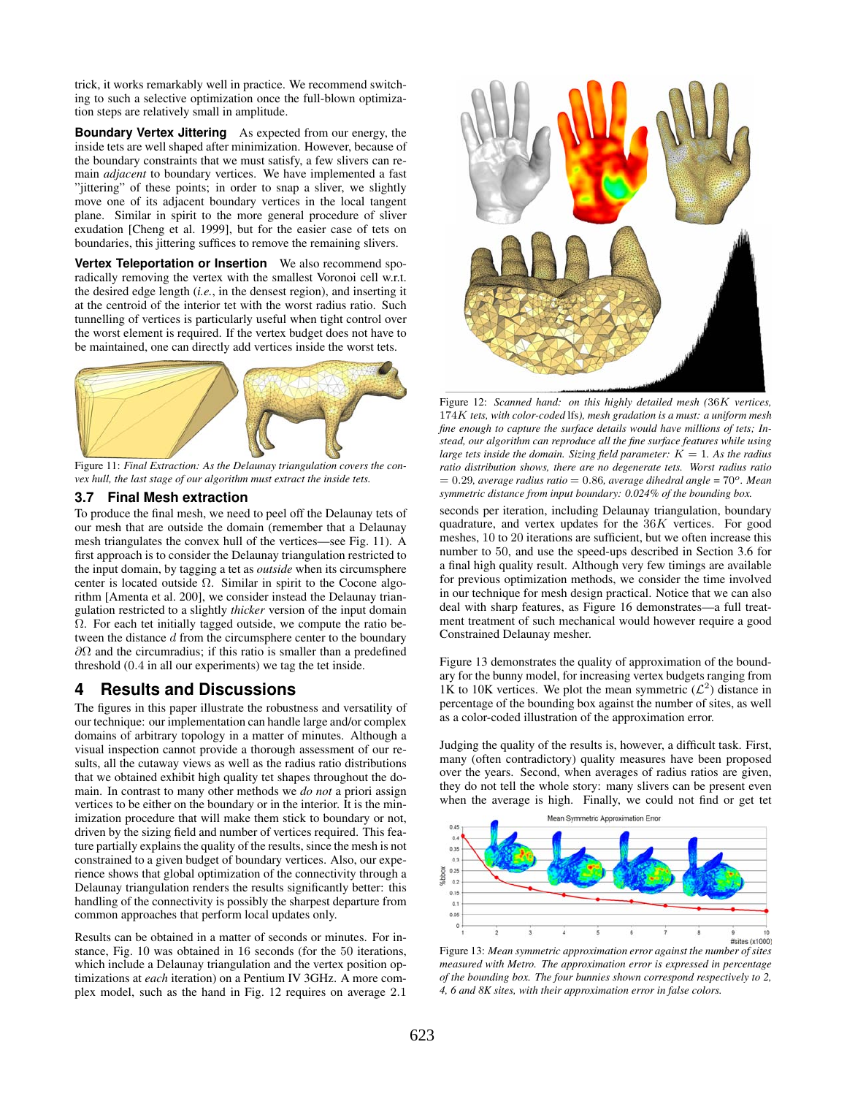trick, it works remarkably well in practice. We recommend switching to such a selective optimization once the full-blown optimization steps are relatively small in amplitude.

**Boundary Vertex Jittering** As expected from our energy, the inside tets are well shaped after minimization. However, because of the boundary constraints that we must satisfy, a few slivers can remain *adjacent* to boundary vertices. We have implemented a fast "jittering" of these points; in order to snap a sliver, we slightly move one of its adjacent boundary vertices in the local tangent plane. Similar in spirit to the more general procedure of sliver exudation [\[Cheng et al. 1999\]](#page-7-6), but for the easier case of tets on boundaries, this jittering suffices to remove the remaining slivers.

**Vertex Teleportation or Insertion** We also recommend sporadically removing the vertex with the smallest Voronoi cell w.r.t. the desired edge length (*i.e.*, in the densest region), and inserting it at the centroid of the interior tet with the worst radius ratio. Such tunnelling of vertices is particularly useful when tight control over the worst element is required. If the vertex budget does not have to be maintained, one can directly add vertices inside the worst tets.



Figure 11: *Final Extraction: As the Delaunay triangulation covers the convex hull, the last stage of our algorithm must extract the inside tets.*

#### <span id="page-6-0"></span>**3.7 Final Mesh extraction**

To produce the final mesh, we need to peel off the Delaunay tets of our mesh that are outside the domain (remember that a Delaunay mesh triangulates the convex hull of the vertices—see Fig. [11\)](#page-6-0). A first approach is to consider the Delaunay triangulation restricted to the input domain, by tagging a tet as *outside* when its circumsphere center is located outside  $\Omega$ . Similar in spirit to the Cocone algorithm [\[Amenta et al. 200\]](#page-7-14), we consider instead the Delaunay triangulation restricted to a slightly *thicker* version of the input domain Ω. For each tet initially tagged outside, we compute the ratio between the distance d from the circumsphere center to the boundary  $\partial\Omega$  and the circumradius; if this ratio is smaller than a predefined threshold (0.4 in all our experiments) we tag the tet inside.

## **4 Results and Discussions**

The figures in this paper illustrate the robustness and versatility of our technique: our implementation can handle large and/or complex domains of arbitrary topology in a matter of minutes. Although a visual inspection cannot provide a thorough assessment of our results, all the cutaway views as well as the radius ratio distributions that we obtained exhibit high quality tet shapes throughout the domain. In contrast to many other methods we *do not* a priori assign vertices to be either on the boundary or in the interior. It is the minimization procedure that will make them stick to boundary or not, driven by the sizing field and number of vertices required. This feature partially explains the quality of the results, since the mesh is not constrained to a given budget of boundary vertices. Also, our experience shows that global optimization of the connectivity through a Delaunay triangulation renders the results significantly better: this handling of the connectivity is possibly the sharpest departure from common approaches that perform local updates only.

Results can be obtained in a matter of seconds or minutes. For instance, Fig. [10](#page-5-1) was obtained in 16 seconds (for the 50 iterations, which include a Delaunay triangulation and the vertex position optimizations at *each* iteration) on a Pentium IV 3GHz. A more complex model, such as the hand in Fig. [12](#page-6-1) requires on average 2.1



Figure 12: *Scanned hand: on this highly detailed mesh (*36K *vertices,* 174K *tets, with color-coded* lfs*), mesh gradation is a must: a uniform mesh fine enough to capture the surface details would have millions of tets; Instead, our algorithm can reproduce all the fine surface features while using large tets inside the domain. Sizing field parameter:* K = 1*. As the radius ratio distribution shows, there are no degenerate tets. Worst radius ratio*  $= 0.29$ , average radius ratio  $= 0.86$ , average dihedral angle  $= 70^{\circ}$ . Mean *symmetric distance from input boundary: 0.024% of the bounding box.*

<span id="page-6-1"></span>seconds per iteration, including Delaunay triangulation, boundary quadrature, and vertex updates for the  $36K$  vertices. For good meshes, 10 to 20 iterations are sufficient, but we often increase this number to 50, and use the speed-ups described in Section [3.6](#page-5-2) for a final high quality result. Although very few timings are available for previous optimization methods, we consider the time involved in our technique for mesh design practical. Notice that we can also deal with sharp features, as Figure [16](#page-8-25) demonstrates—a full treatment treatment of such mechanical would however require a good Constrained Delaunay mesher.

Figure [13](#page-6-2) demonstrates the quality of approximation of the boundary for the bunny model, for increasing vertex budgets ranging from 1K to 10K vertices. We plot the mean symmetric  $(L<sup>2</sup>)$  distance in percentage of the bounding box against the number of sites, as well as a color-coded illustration of the approximation error.

Judging the quality of the results is, however, a difficult task. First, many (often contradictory) quality measures have been proposed over the years. Second, when averages of radius ratios are given, they do not tell the whole story: many slivers can be present even when the average is high. Finally, we could not find or get tet



<span id="page-6-2"></span>Figure 13: *Mean symmetric approximation error against the number of sites measured with Metro. The approximation error is expressed in percentage of the bounding box. The four bunnies shown correspond respectively to 2, 4, 6 and 8K sites, with their approximation error in false colors.*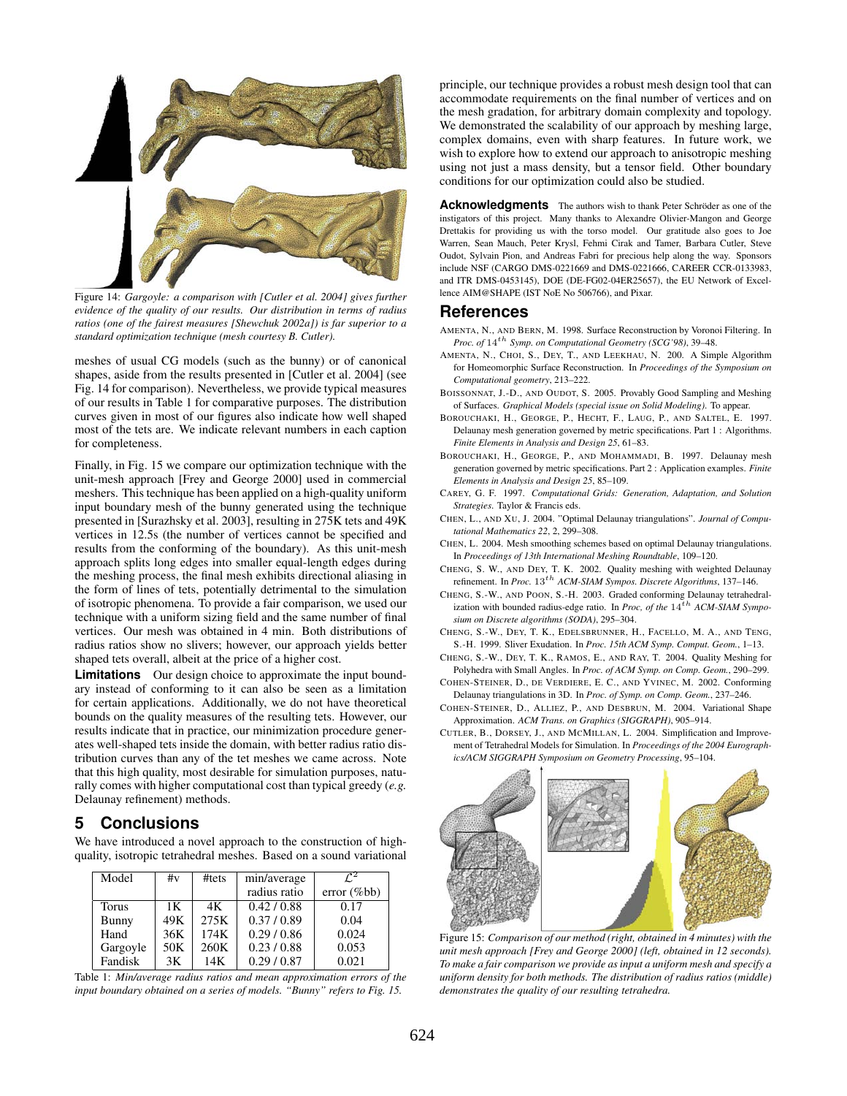

Figure 14: *Gargoyle: a comparison with [\[Cutler et al. 2004\]](#page-7-8) gives further evidence of the quality of our results. Our distribution in terms of radius ratios (one of the fairest measures [\[Shewchuk 2002a\]](#page-8-1)) is far superior to a standard optimization technique (mesh courtesy B. Cutler).*

<span id="page-7-15"></span>meshes of usual CG models (such as the bunny) or of canonical shapes, aside from the results presented in [\[Cutler et al. 2004\]](#page-7-8) (see Fig. [14](#page-7-15) for comparison). Nevertheless, we provide typical measures of our results in Table [1](#page-7-16) for comparative purposes. The distribution curves given in most of our figures also indicate how well shaped most of the tets are. We indicate relevant numbers in each caption for completeness.

Finally, in Fig. [15](#page-7-17) we compare our optimization technique with the unit-mesh approach [\[Frey and George 2000\]](#page-8-3) used in commercial meshers. This technique has been applied on a high-quality uniform input boundary mesh of the bunny generated using the technique presented in [\[Surazhsky et al. 2003\]](#page-8-28), resulting in 275K tets and 49K vertices in 12.5s (the number of vertices cannot be specified and results from the conforming of the boundary). As this unit-mesh approach splits long edges into smaller equal-length edges during the meshing process, the final mesh exhibits directional aliasing in the form of lines of tets, potentially detrimental to the simulation of isotropic phenomena. To provide a fair comparison, we used our technique with a uniform sizing field and the same number of final vertices. Our mesh was obtained in 4 min. Both distributions of radius ratios show no slivers; however, our approach yields better shaped tets overall, albeit at the price of a higher cost.

**Limitations** Our design choice to approximate the input boundary instead of conforming to it can also be seen as a limitation for certain applications. Additionally, we do not have theoretical bounds on the quality measures of the resulting tets. However, our results indicate that in practice, our minimization procedure generates well-shaped tets inside the domain, with better radius ratio distribution curves than any of the tet meshes we came across. Note that this high quality, most desirable for simulation purposes, naturally comes with higher computational cost than typical greedy (*e.g.* Delaunay refinement) methods.

## **5 Conclusions**

We have introduced a novel approach to the construction of highquality, isotropic tetrahedral meshes. Based on a sound variational

| Model        | #v  | #tets | min/average  |               |
|--------------|-----|-------|--------------|---------------|
|              |     |       | radius ratio | $error$ (%bb) |
| <b>Torus</b> | 1K  | 4K    | 0.42/0.88    | 0.17          |
| Bunny        | 49K | 275K  | 0.37/0.89    | 0.04          |
| Hand         | 36K | 174K  | 0.29/0.86    | 0.024         |
| Gargoyle     | 50K | 260K  | 0.23/0.88    | 0.053         |
| Fandisk      | 3K  | 14K   | 0.29/0.87    | 0.021         |

<span id="page-7-16"></span>Table 1: *Min/average radius ratios and mean approximation errors of the input boundary obtained on a series of models. "Bunny" refers to Fig. [15.](#page-7-17)*

principle, our technique provides a robust mesh design tool that can accommodate requirements on the final number of vertices and on the mesh gradation, for arbitrary domain complexity and topology. We demonstrated the scalability of our approach by meshing large, complex domains, even with sharp features. In future work, we wish to explore how to extend our approach to anisotropic meshing using not just a mass density, but a tensor field. Other boundary conditions for our optimization could also be studied.

**Acknowledgments** The authors wish to thank Peter Schröder as one of the instigators of this project. Many thanks to Alexandre Olivier-Mangon and George Drettakis for providing us with the torso model. Our gratitude also goes to Joe Warren, Sean Mauch, Peter Krysl, Fehmi Cirak and Tamer, Barbara Cutler, Steve Oudot, Sylvain Pion, and Andreas Fabri for precious help along the way. Sponsors include NSF (CARGO DMS-0221669 and DMS-0221666, CAREER CCR-0133983, and ITR DMS-0453145), DOE (DE-FG02-04ER25657), the EU Network of Excellence AIM@SHAPE (IST NoE No 506766), and Pixar.

## **References**

- <span id="page-7-12"></span>AMENTA, N., AND BERN, M. 1998. Surface Reconstruction by Voronoi Filtering. In *Proc. of* 14th *Symp. on Computational Geometry (SCG'98)*, 39–48.
- <span id="page-7-14"></span>AMENTA, N., CHOI, S., DEY, T., AND LEEKHAU, N. 200. A Simple Algorithm for Homeomorphic Surface Reconstruction. In *Proceedings of the Symposium on Computational geometry*, 213–222.
- <span id="page-7-13"></span>BOISSONNAT, J.-D., AND OUDOT, S. 2005. Provably Good Sampling and Meshing of Surfaces. *Graphical Models (special issue on Solid Modeling)*. To appear.
- <span id="page-7-4"></span>BOROUCHAKI, H., GEORGE, P., HECHT, F., LAUG, P., AND SALTEL, E. 1997. Delaunay mesh generation governed by metric specifications. Part 1 : Algorithms. *Finite Elements in Analysis and Design 25*, 61–83.
- <span id="page-7-5"></span>BOROUCHAKI, H., GEORGE, P., AND MOHAMMADI, B. 1997. Delaunay mesh generation governed by metric specifications. Part 2 : Application examples. *Finite Elements in Analysis and Design 25*, 85–109.
- <span id="page-7-0"></span>CAREY, G. F. 1997. *Computational Grids: Generation, Adaptation, and Solution Strategies*. Taylor & Francis eds.
- <span id="page-7-10"></span>CHEN, L., AND XU, J. 2004. "Optimal Delaunay triangulations". *Journal of Computational Mathematics 22*, 2, 299–308.
- <span id="page-7-11"></span>CHEN, L. 2004. Mesh smoothing schemes based on optimal Delaunay triangulations. In *Proceedings of 13th International Meshing Roundtable*, 109–120.
- <span id="page-7-7"></span>CHENG, S. W., AND DEY, T. K. 2002. Quality meshing with weighted Delaunay refinement. In *Proc.* 13th *ACM-SIAM Sympos. Discrete Algorithms*, 137–146.
- <span id="page-7-2"></span>CHENG, S.-W., AND POON, S.-H. 2003. Graded conforming Delaunay tetrahedralization with bounded radius-edge ratio. In *Proc, of the*  $14^{th}$  *ACM-SIAM Symposium on Discrete algorithms (SODA)*, 295–304.
- <span id="page-7-6"></span>CHENG, S.-W., DEY, T. K., EDELSBRUNNER, H., FACELLO, M. A., AND TENG, S.-H. 1999. Sliver Exudation. In *Proc. 15th ACM Symp. Comput. Geom.*, 1–13.
- <span id="page-7-3"></span>CHENG, S.-W., DEY, T. K., RAMOS, E., AND RAY, T. 2004. Quality Meshing for Polyhedra with Small Angles. In *Proc. of ACM Symp. on Comp. Geom.*, 290–299.
- <span id="page-7-1"></span>COHEN-STEINER, D., DE VERDIERE, E. C., AND YVINEC, M. 2002. Conforming Delaunay triangulations in 3D. In *Proc. of Symp. on Comp. Geom.*, 237–246.
- <span id="page-7-9"></span>COHEN-STEINER, D., ALLIEZ, P., AND DESBRUN, M. 2004. Variational Shape Approximation. *ACM Trans. on Graphics (SIGGRAPH)*, 905–914.
- <span id="page-7-8"></span>CUTLER, B., DORSEY, J., AND MCMILLAN, L. 2004. Simplification and Improvement of Tetrahedral Models for Simulation. In *Proceedings of the 2004 Eurographics/ACM SIGGRAPH Symposium on Geometry Processing*, 95–104.

<span id="page-7-17"></span>

Figure 15: *Comparison of our method (right, obtained in 4 minutes) with the unit mesh approach [\[Frey and George 2000\]](#page-8-3) (left, obtained in 12 seconds). To make a fair comparison we provide as input a uniform mesh and specify a uniform density for both methods. The distribution of radius ratios (middle) demonstrates the quality of our resulting tetrahedra.*